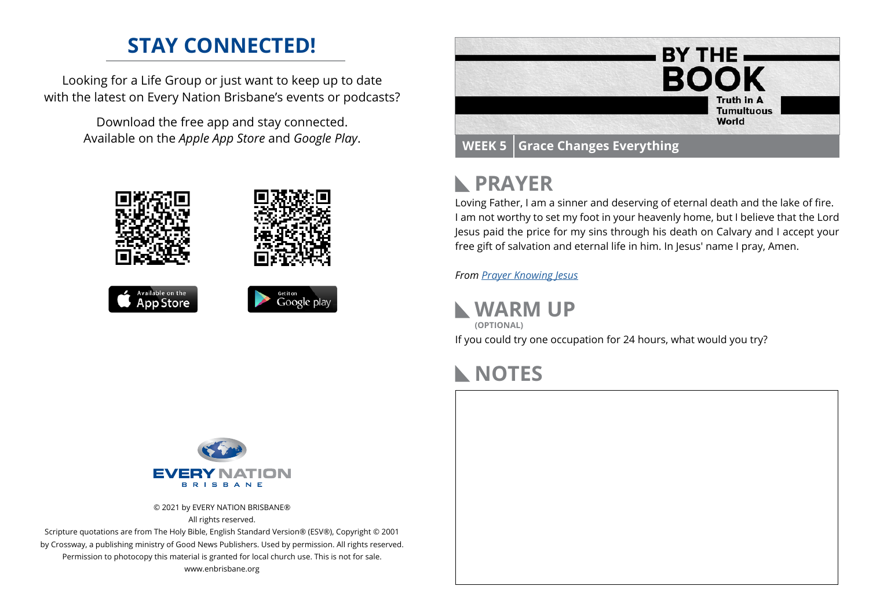# **STAY CONNECTED!**

Looking for a Life Group or just want to keep up to date with the latest on Every Nation Brisbane's events or podcasts?

> Download the free app and stay connected. Available on the *Apple App Store* and *Google Play*.





# **PRAYER**

Loving Father, I am a sinner and deserving of eternal death and the lake of fire. I am not worthy to set my foot in your heavenly home, but I believe that the Lord Jesus paid the price for my sins through his death on Calvary and I accept your free gift of salvation and eternal life in him. In Jesus' name I pray, Amen.

*From [Prayer](https://prayer.knowing-jesus.com/Romans/6) Knowing Jesus*

**WARM UP**

If you could try one occupation for 24 hours, what would you try? **(OPTIONAL)**

## **NOTES**



© 2021 by EVERY NATION BRISBANE® All rights reserved.

Scripture quotations are from The Holy Bible, English Standard Version® (ESV®), Copyright © 2001 by Crossway, a publishing ministry of Good News Publishers. Used by permission. All rights reserved. Permission to photocopy this material is granted for local church use. This is not for sale. www.enbrisbane.org